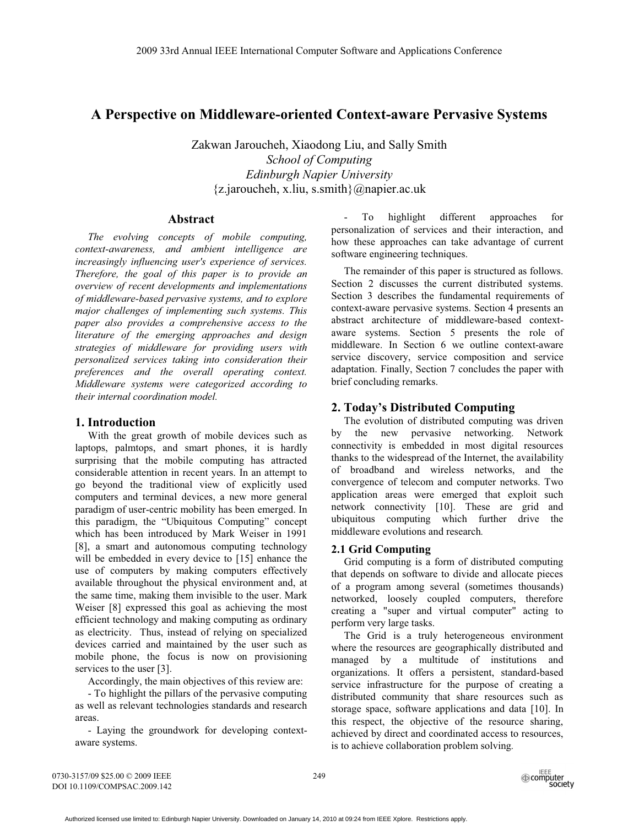# **A Perspective on Middleware-oriented Context-aware Pervasive Systems**

Zakwan Jaroucheh, Xiaodong Liu, and Sally Smith *School of Computing Edinburgh Napier University*  {z.jaroucheh, x.liu, s.smith}@napier.ac.uk

## **Abstract**

*The evolving concepts of mobile computing, context-awareness, and ambient intelligence are increasingly influencing user's experience of services. Therefore, the goal of this paper is to provide an overview of recent developments and implementations of middleware-based pervasive systems, and to explore major challenges of implementing such systems. This paper also provides a comprehensive access to the literature of the emerging approaches and design strategies of middleware for providing users with personalized services taking into consideration their preferences and the overall operating context. Middleware systems were categorized according to their internal coordination model.* 

## **1. Introduction**

With the great growth of mobile devices such as laptops, palmtops, and smart phones, it is hardly surprising that the mobile computing has attracted considerable attention in recent years. In an attempt to go beyond the traditional view of explicitly used computers and terminal devices, a new more general paradigm of user-centric mobility has been emerged. In this paradigm, the "Ubiquitous Computing" concept which has been introduced by Mark Weiser in 1991 [8], a smart and autonomous computing technology will be embedded in every device to [15] enhance the use of computers by making computers effectively available throughout the physical environment and, at the same time, making them invisible to the user. Mark Weiser [8] expressed this goal as achieving the most efficient technology and making computing as ordinary as electricity. Thus, instead of relying on specialized devices carried and maintained by the user such as mobile phone, the focus is now on provisioning services to the user [3].

Accordingly, the main objectives of this review are:

- To highlight the pillars of the pervasive computing as well as relevant technologies standards and research areas.

- Laying the groundwork for developing contextaware systems.

- To highlight different approaches for personalization of services and their interaction, and how these approaches can take advantage of current software engineering techniques.

The remainder of this paper is structured as follows. Section 2 discusses the current distributed systems. Section 3 describes the fundamental requirements of context-aware pervasive systems. Section 4 presents an abstract architecture of middleware-based contextaware systems. Section 5 presents the role of middleware. In Section 6 we outline context-aware service discovery, service composition and service adaptation. Finally, Section 7 concludes the paper with brief concluding remarks.

# **2. Today's Distributed Computing**

The evolution of distributed computing was driven by the new pervasive networking. Network connectivity is embedded in most digital resources thanks to the widespread of the Internet, the availability of broadband and wireless networks, and the convergence of telecom and computer networks. Two application areas were emerged that exploit such network connectivity [10]. These are grid and ubiquitous computing which further drive the middleware evolutions and research*.* 

## **2.1 Grid Computing**

Grid computing is a form of distributed computing that depends on software to divide and allocate pieces of a program among several (sometimes thousands) networked, loosely coupled computers, therefore creating a "super and virtual computer" acting to perform very large tasks.

The Grid is a truly heterogeneous environment where the resources are geographically distributed and managed by a multitude of institutions and organizations. It offers a persistent, standard-based service infrastructure for the purpose of creating a distributed community that share resources such as storage space, software applications and data [10]. In this respect, the objective of the resource sharing, achieved by direct and coordinated access to resources, is to achieve collaboration problem solving*.* 

0730-3157/09 \$25.00 © 2009 IEEE DOI 10.1109/COMPSAC.2009.142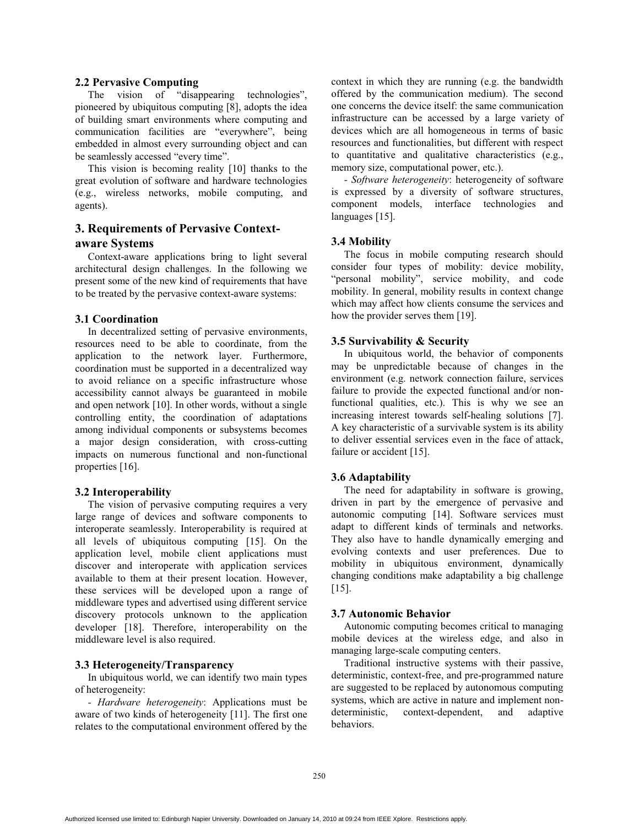### **2.2 Pervasive Computing**

The vision of "disappearing technologies", pioneered by ubiquitous computing [8], adopts the idea of building smart environments where computing and communication facilities are "everywhere", being embedded in almost every surrounding object and can be seamlessly accessed "every time".

This vision is becoming reality [10] thanks to the great evolution of software and hardware technologies (e.g., wireless networks, mobile computing, and agents).

# **3. Requirements of Pervasive Contextaware Systems**

Context-aware applications bring to light several architectural design challenges. In the following we present some of the new kind of requirements that have to be treated by the pervasive context-aware systems:

### **3.1 Coordination**

In decentralized setting of pervasive environments, resources need to be able to coordinate, from the application to the network layer. Furthermore, coordination must be supported in a decentralized way to avoid reliance on a specific infrastructure whose accessibility cannot always be guaranteed in mobile and open network [10]. In other words, without a single controlling entity, the coordination of adaptations among individual components or subsystems becomes a major design consideration, with cross-cutting impacts on numerous functional and non-functional properties [16].

### **3.2 Interoperability**

The vision of pervasive computing requires a very large range of devices and software components to interoperate seamlessly. Interoperability is required at all levels of ubiquitous computing [15]. On the application level, mobile client applications must discover and interoperate with application services available to them at their present location. However, these services will be developed upon a range of middleware types and advertised using different service discovery protocols unknown to the application developer [18]. Therefore, interoperability on the middleware level is also required.

## **3.3 Heterogeneity/Transparency**

In ubiquitous world, we can identify two main types of heterogeneity:

*- Hardware heterogeneity*: Applications must be aware of two kinds of heterogeneity [11]. The first one relates to the computational environment offered by the context in which they are running (e.g. the bandwidth offered by the communication medium). The second one concerns the device itself: the same communication infrastructure can be accessed by a large variety of devices which are all homogeneous in terms of basic resources and functionalities, but different with respect to quantitative and qualitative characteristics (e.g., memory size, computational power, etc.).

*- Software heterogeneity*: heterogeneity of software is expressed by a diversity of software structures, component models, interface technologies and languages [15].

#### **3.4 Mobility**

The focus in mobile computing research should consider four types of mobility: device mobility, "personal mobility", service mobility, and code mobility. In general, mobility results in context change which may affect how clients consume the services and how the provider serves them [19].

#### **3.5 Survivability & Security**

In ubiquitous world, the behavior of components may be unpredictable because of changes in the environment (e.g. network connection failure, services failure to provide the expected functional and/or nonfunctional qualities, etc.). This is why we see an increasing interest towards self-healing solutions [7]. A key characteristic of a survivable system is its ability to deliver essential services even in the face of attack, failure or accident [15].

## **3.6 Adaptability**

The need for adaptability in software is growing, driven in part by the emergence of pervasive and autonomic computing [14]. Software services must adapt to different kinds of terminals and networks. They also have to handle dynamically emerging and evolving contexts and user preferences. Due to mobility in ubiquitous environment, dynamically changing conditions make adaptability a big challenge [15].

#### **3.7 Autonomic Behavior**

Autonomic computing becomes critical to managing mobile devices at the wireless edge, and also in managing large-scale computing centers.

Traditional instructive systems with their passive, deterministic, context-free, and pre-programmed nature are suggested to be replaced by autonomous computing systems, which are active in nature and implement nondeterministic, context-dependent, and adaptive behaviors.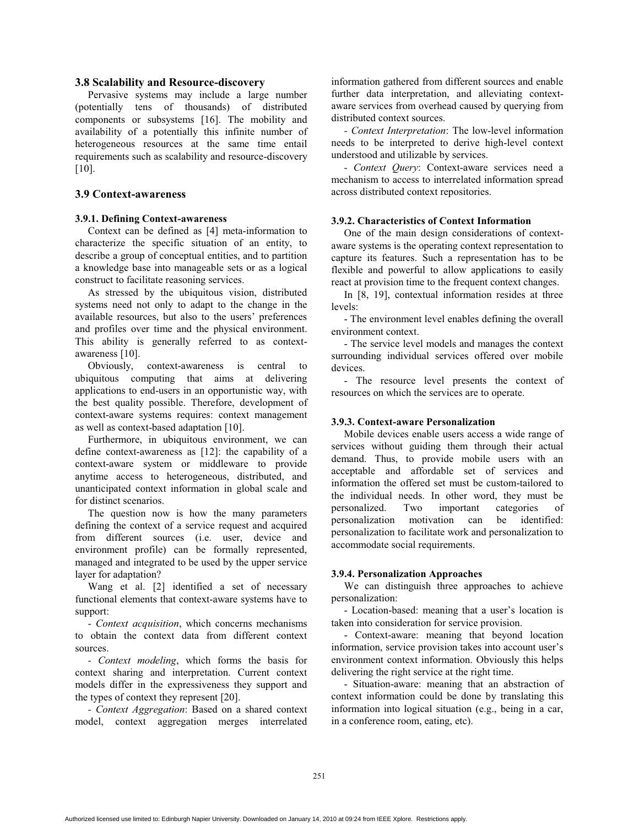#### **3.8 Scalability and Resource-discovery**

Pervasive systems may include a large number (potentially tens of thousands) of distributed components or subsystems [16]. The mobility and availability of a potentially this infinite number of heterogeneous resources at the same time entail requirements such as scalability and resource-discovery [10].

## **3.9 Context-awareness**

## **3.9.1. Defining Context-awareness**

Context can be defined as [4] meta-information to characterize the specific situation of an entity, to describe a group of conceptual entities, and to partition a knowledge base into manageable sets or as a logical construct to facilitate reasoning services.

As stressed by the ubiquitous vision, distributed systems need not only to adapt to the change in the available resources, but also to the users' preferences and profiles over time and the physical environment. This ability is generally referred to as contextawareness [10].

Obviously, context-awareness is central to ubiquitous computing that aims at delivering applications to end-users in an opportunistic way, with the best quality possible. Therefore, development of context-aware systems requires: context management as well as context-based adaptation [10].

Furthermore, in ubiquitous environment, we can define context-awareness as [12]: the capability of a context-aware system or middleware to provide anytime access to heterogeneous, distributed, and unanticipated context information in global scale and for distinct scenarios.

The question now is how the many parameters defining the context of a service request and acquired from different sources (i.e. user, device and environment profile) can be formally represented, managed and integrated to be used by the upper service layer for adaptation?

Wang et al. [2] identified a set of necessary functional elements that context-aware systems have to support:

*- Context acquisition*, which concerns mechanisms to obtain the context data from different context sources.

*- Context modeling*, which forms the basis for context sharing and interpretation. Current context models differ in the expressiveness they support and the types of context they represent [20].

*- Context Aggregation*: Based on a shared context model, context aggregation merges interrelated information gathered from different sources and enable further data interpretation, and alleviating contextaware services from overhead caused by querying from distributed context sources.

*- Context Interpretation*: The low-level information needs to be interpreted to derive high-level context understood and utilizable by services.

*- Context Query*: Context-aware services need a mechanism to access to interrelated information spread across distributed context repositories.

#### **3.9.2. Characteristics of Context Information**

One of the main design considerations of contextaware systems is the operating context representation to capture its features. Such a representation has to be flexible and powerful to allow applications to easily react at provision time to the frequent context changes.

In [8, 19], contextual information resides at three levels:

- The environment level enables defining the overall environment context.

- The service level models and manages the context surrounding individual services offered over mobile devices.

- The resource level presents the context of resources on which the services are to operate.

## **3.9.3. Context-aware Personalization**

Mobile devices enable users access a wide range of services without guiding them through their actual demand. Thus, to provide mobile users with an acceptable and affordable set of services and information the offered set must be custom-tailored to the individual needs. In other word, they must be personalized. Two important categories of personalization motivation can be identified: personalization to facilitate work and personalization to accommodate social requirements.

#### **3.9.4. Personalization Approaches**

We can distinguish three approaches to achieve personalization:

- Location-based: meaning that a user's location is taken into consideration for service provision.

- Context-aware: meaning that beyond location information, service provision takes into account user's environment context information. Obviously this helps delivering the right service at the right time.

- Situation-aware: meaning that an abstraction of context information could be done by translating this information into logical situation (e.g., being in a car, in a conference room, eating, etc).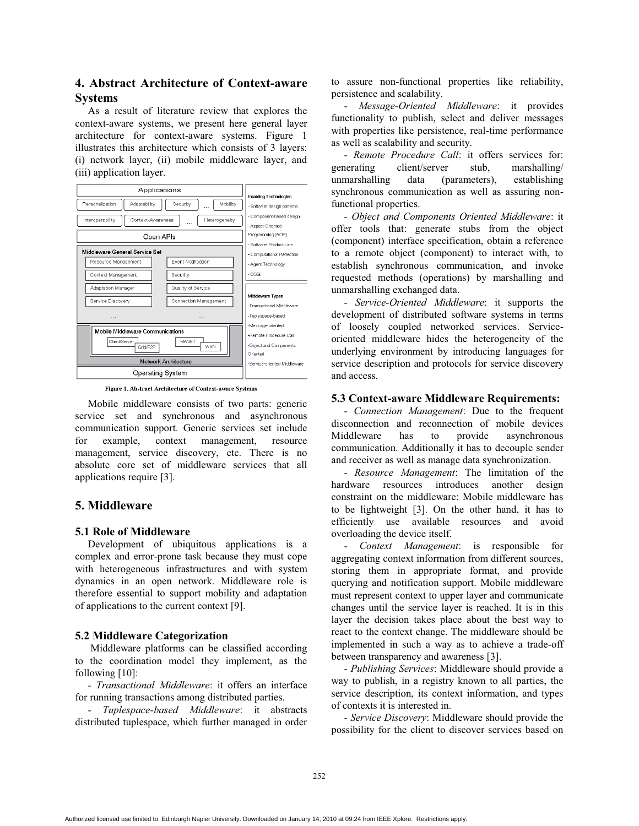# **4. Abstract Architecture of Context-aware Systems**

As a result of literature review that explores the context-aware systems, we present here general layer architecture for context-aware systems. Figure 1 illustrates this architecture which consists of 3 layers: (i) network layer, (ii) mobile middleware layer, and (iii) application layer.



Figure 1. Abstract Architecture of Context-aware Systems

Mobile middleware consists of two parts: generic service set and synchronous and asynchronous communication support. Generic services set include for example, context management, resource management, service discovery, etc. There is no absolute core set of middleware services that all applications require [3].

# **5. Middleware**

## **5.1 Role of Middleware**

Development of ubiquitous applications is a complex and error-prone task because they must cope with heterogeneous infrastructures and with system dynamics in an open network. Middleware role is therefore essential to support mobility and adaptation of applications to the current context [9].

## **5.2 Middleware Categorization**

Middleware platforms can be classified according to the coordination model they implement, as the following [10]:

*- Transactional Middleware*: it offers an interface for running transactions among distributed parties.

*- Tuplespace-based Middleware*: it abstracts distributed tuplespace, which further managed in order to assure non-functional properties like reliability, persistence and scalability.

*- Message-Oriented Middleware*: it provides functionality to publish, select and deliver messages with properties like persistence, real-time performance as well as scalability and security.

*- Remote Procedure Call*: it offers services for: generating client/server stub, marshalling/ unmarshalling data (parameters), establishing synchronous communication as well as assuring nonfunctional properties.

*- Object and Components Oriented Middleware*: it offer tools that: generate stubs from the object (component) interface specification, obtain a reference to a remote object (component) to interact with, to establish synchronous communication, and invoke requested methods (operations) by marshalling and unmarshalling exchanged data.

*- Service-Oriented Middleware*: it supports the development of distributed software systems in terms of loosely coupled networked services. Serviceoriented middleware hides the heterogeneity of the underlying environment by introducing languages for service description and protocols for service discovery and access.

## **5.3 Context-aware Middleware Requirements:**

*- Connection Management*: Due to the frequent disconnection and reconnection of mobile devices Middleware has to provide asynchronous communication. Additionally it has to decouple sender and receiver as well as manage data synchronization.

*- Resource Management*: The limitation of the hardware resources introduces another design constraint on the middleware: Mobile middleware has to be lightweight [3]. On the other hand, it has to efficiently use available resources and avoid overloading the device itself.

*- Context Management*: is responsible for aggregating context information from different sources, storing them in appropriate format, and provide querying and notification support. Mobile middleware must represent context to upper layer and communicate changes until the service layer is reached. It is in this layer the decision takes place about the best way to react to the context change. The middleware should be implemented in such a way as to achieve a trade-off between transparency and awareness [3].

*- Publishing Services*: Middleware should provide a way to publish, in a registry known to all parties, the service description, its context information, and types of contexts it is interested in.

*- Service Discovery*: Middleware should provide the possibility for the client to discover services based on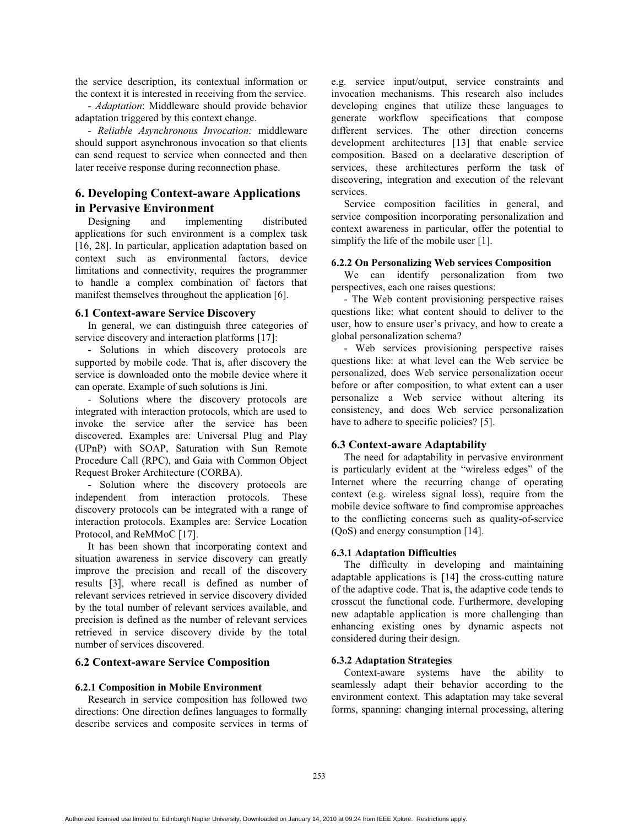the service description, its contextual information or the context it is interested in receiving from the service.

*- Adaptation*: Middleware should provide behavior adaptation triggered by this context change.

*- Reliable Asynchronous Invocation:* middleware should support asynchronous invocation so that clients can send request to service when connected and then later receive response during reconnection phase.

## **6. Developing Context-aware Applications in Pervasive Environment**

Designing and implementing distributed applications for such environment is a complex task [16, 28]. In particular, application adaptation based on context such as environmental factors, device limitations and connectivity, requires the programmer to handle a complex combination of factors that manifest themselves throughout the application [6].

#### **6.1 Context-aware Service Discovery**

In general, we can distinguish three categories of service discovery and interaction platforms [17]:

- Solutions in which discovery protocols are supported by mobile code. That is, after discovery the service is downloaded onto the mobile device where it can operate. Example of such solutions is Jini.

- Solutions where the discovery protocols are integrated with interaction protocols, which are used to invoke the service after the service has been discovered. Examples are: Universal Plug and Play (UPnP) with SOAP, Saturation with Sun Remote Procedure Call (RPC), and Gaia with Common Object Request Broker Architecture (CORBA).

- Solution where the discovery protocols are independent from interaction protocols. These discovery protocols can be integrated with a range of interaction protocols. Examples are: Service Location Protocol, and ReMMoC [17].

It has been shown that incorporating context and situation awareness in service discovery can greatly improve the precision and recall of the discovery results [3], where recall is defined as number of relevant services retrieved in service discovery divided by the total number of relevant services available, and precision is defined as the number of relevant services retrieved in service discovery divide by the total number of services discovered.

### **6.2 Context-aware Service Composition**

#### **6.2.1 Composition in Mobile Environment**

Research in service composition has followed two directions: One direction defines languages to formally describe services and composite services in terms of e.g. service input/output, service constraints and invocation mechanisms. This research also includes developing engines that utilize these languages to generate workflow specifications that compose different services. The other direction concerns development architectures [13] that enable service composition. Based on a declarative description of services, these architectures perform the task of discovering, integration and execution of the relevant services.

Service composition facilities in general, and service composition incorporating personalization and context awareness in particular, offer the potential to simplify the life of the mobile user [1].

#### **6.2.2 On Personalizing Web services Composition**

We can identify personalization from two perspectives, each one raises questions:

- The Web content provisioning perspective raises questions like: what content should to deliver to the user, how to ensure user's privacy, and how to create a global personalization schema?

- Web services provisioning perspective raises questions like: at what level can the Web service be personalized, does Web service personalization occur before or after composition, to what extent can a user personalize a Web service without altering its consistency, and does Web service personalization have to adhere to specific policies? [5].

### **6.3 Context-aware Adaptability**

The need for adaptability in pervasive environment is particularly evident at the "wireless edges" of the Internet where the recurring change of operating context (e.g. wireless signal loss), require from the mobile device software to find compromise approaches to the conflicting concerns such as quality-of-service (QoS) and energy consumption [14].

#### **6.3.1 Adaptation Difficulties**

The difficulty in developing and maintaining adaptable applications is [14] the cross-cutting nature of the adaptive code. That is, the adaptive code tends to crosscut the functional code. Furthermore, developing new adaptable application is more challenging than enhancing existing ones by dynamic aspects not considered during their design.

### **6.3.2 Adaptation Strategies**

Context-aware systems have the ability to seamlessly adapt their behavior according to the environment context. This adaptation may take several forms, spanning: changing internal processing, altering